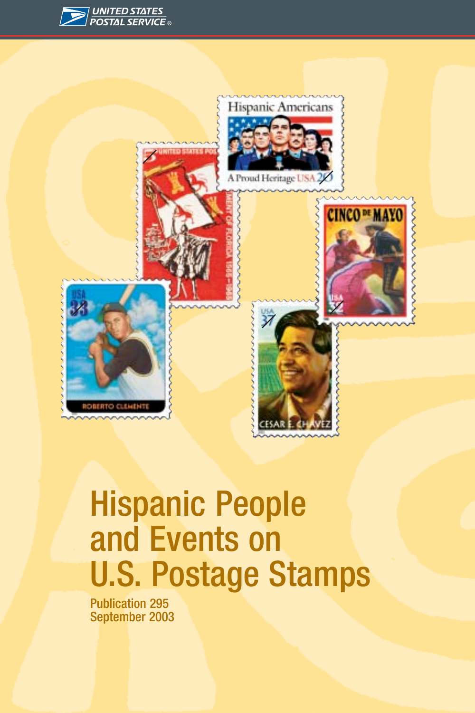



## Hispanic People and Events on U.S. Postage Stamps

Publication 295 September 2003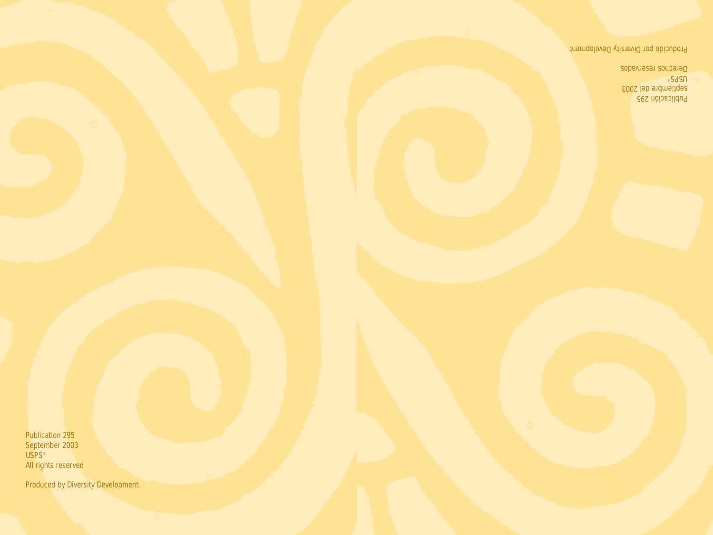Publication 295 September 2003 USPS® All rights reserved

Produced by Diversity Development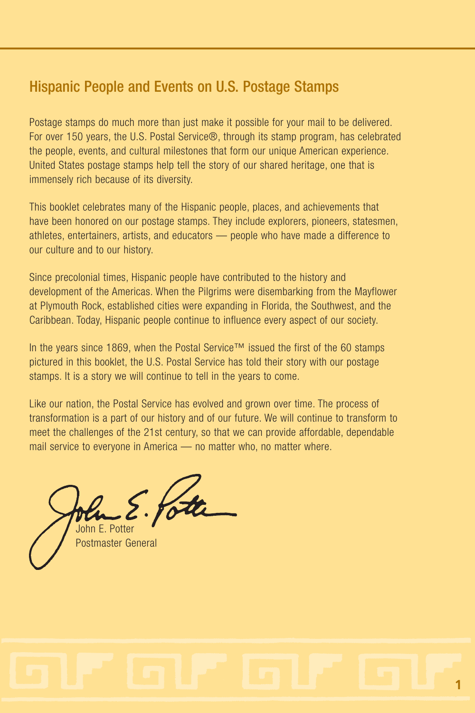## Hispanic People and Events on U.S. Postage Stamps

Postage stamps do much more than just make it possible for your mail to be delivered. For over 150 years, the U.S. Postal Service®, through its stamp program, has celebrated the people, events, and cultural milestones that form our unique American experience. United States postage stamps help tell the story of our shared heritage, one that is immensely rich because of its diversity.

This booklet celebrates many of the Hispanic people, places, and achievements that have been honored on our postage stamps. They include explorers, pioneers, statesmen, athletes, entertainers, artists, and educators — people who have made a difference to our culture and to our history.

Since precolonial times, Hispanic people have contributed to the history and development of the Americas. When the Pilgrims were disembarking from the Mayflower at Plymouth Rock, established cities were expanding in Florida, the Southwest, and the Caribbean. Today, Hispanic people continue to influence every aspect of our society.

In the years since 1869, when the Postal Service™ issued the first of the 60 stamps pictured in this booklet, the U.S. Postal Service has told their story with our postage stamps. It is a story we will continue to tell in the years to come.

Like our nation, the Postal Service has evolved and grown over time. The process of transformation is a part of our history and of our future. We will continue to transform to meet the challenges of the 21st century, so that we can provide affordable, dependable mail service to everyone in America — no matter who, no matter where.

John E. Potter Postmaster General

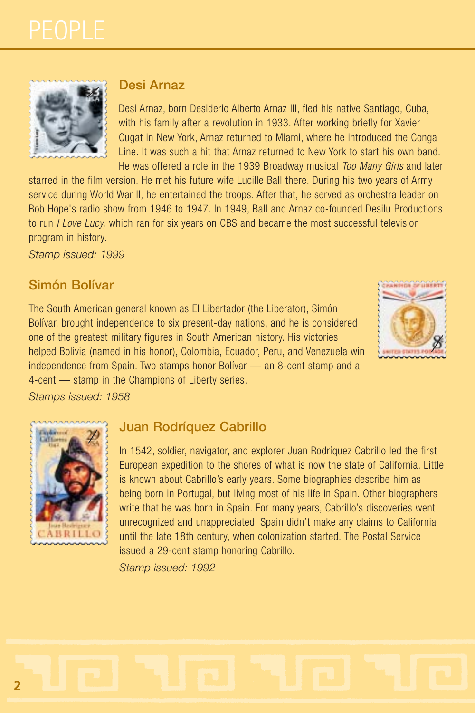

#### **Desi Arnaz**

Desi Arnaz, born Desiderio Alberto Arnaz III, fled his native Santiago, Cuba, with his family after a revolution in 1933. After working briefly for Xavier Cugat in New York, Arnaz returned to Miami, where he introduced the Conga Line. It was such a hit that Arnaz returned to New York to start his own band. He was offered a role in the 1939 Broadway musical *Too Many Girls* and later

starred in the film version. He met his future wife Lucille Ball there. During his two years of Army service during World War II, he entertained the troops. After that, he served as orchestra leader on Bob Hope's radio show from 1946 to 1947. In 1949, Ball and Arnaz co-founded Desilu Productions to run *I Love Lucy,* which ran for six years on CBS and became the most successful television program in history.

*Stamp issued: 1999*

#### **Simón Bolívar**

The South American general known as El Libertador (the Liberator), Simón Bolívar, brought independence to six present-day nations, and he is considered one of the greatest military figures in South American history. His victories helped Bolivia (named in his honor), Colombia, Ecuador, Peru, and Venezuela win independence from Spain. Two stamps honor Bolívar — an 8-cent stamp and a 4-cent — stamp in the Champions of Liberty series.



*Stamps issued: 1958*

#### **Juan Rodríquez Cabrillo**

In 1542, soldier, navigator, and explorer Juan Rodríquez Cabrillo led the first European expedition to the shores of what is now the state of California. Little is known about Cabrillo's early years. Some biographies describe him as being born in Portugal, but living most of his life in Spain. Other biographers write that he was born in Spain. For many years, Cabrillo's discoveries went unrecognized and unappreciated. Spain didn't make any claims to California until the late 18th century, when colonization started. The Postal Service issued a 29-cent stamp honoring Cabrillo.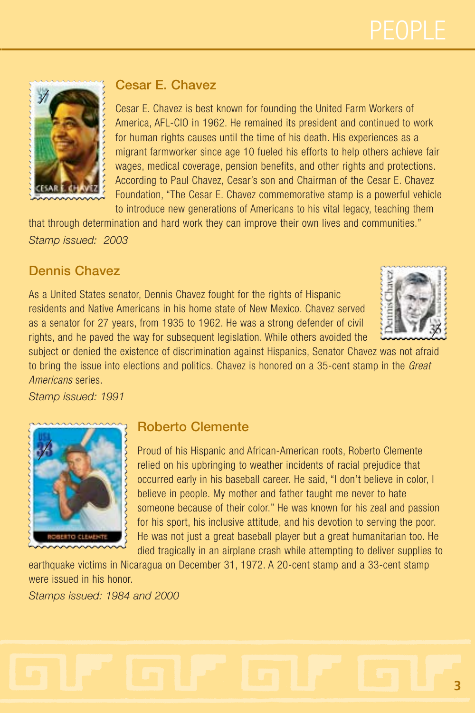

#### **Cesar E. Chavez**

Cesar E. Chavez is best known for founding the United Farm Workers of America, AFL-CIO in 1962. He remained its president and continued to work for human rights causes until the time of his death. His experiences as a migrant farmworker since age 10 fueled his efforts to help others achieve fair wages, medical coverage, pension benefits, and other rights and protections. According to Paul Chavez, Cesar's son and Chairman of the Cesar E. Chavez Foundation, "The Cesar E. Chavez commemorative stamp is a powerful vehicle to introduce new generations of Americans to his vital legacy, teaching them

that through determination and hard work they can improve their own lives and communities." *Stamp issued: 2003*

#### **Dennis Chavez**

As a United States senator, Dennis Chavez fought for the rights of Hispanic residents and Native Americans in his home state of New Mexico. Chavez served as a senator for 27 years, from 1935 to 1962. He was a strong defender of civil rights, and he paved the way for subsequent legislation. While others avoided the



subject or denied the existence of discrimination against Hispanics, Senator Chavez was not afraid to bring the issue into elections and politics. Chavez is honored on a 35-cent stamp in the *Great Americans* series.

*Stamp issued: 1991*



#### **Roberto Clemente**

Proud of his Hispanic and African-American roots, Roberto Clemente relied on his upbringing to weather incidents of racial prejudice that occurred early in his baseball career. He said, "I don't believe in color, I believe in people. My mother and father taught me never to hate someone because of their color." He was known for his zeal and passion for his sport, his inclusive attitude, and his devotion to serving the poor. He was not just a great baseball player but a great humanitarian too. He died tragically in an airplane crash while attempting to deliver supplies to

earthquake victims in Nicaragua on December 31, 1972. A 20-cent stamp and a 33-cent stamp were issued in his honor. *Stamps issued: 1984 and 2000*

# **3**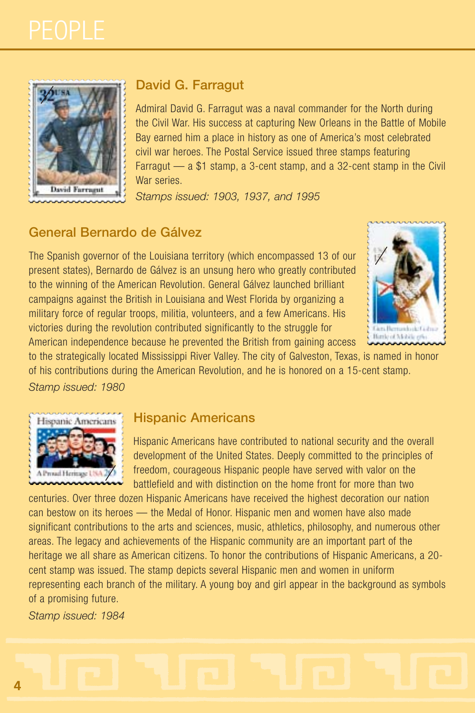

#### **David G. Farragut**

Admiral David G. Farragut was a naval commander for the North during the Civil War. His success at capturing New Orleans in the Battle of Mobile Bay earned him a place in history as one of America's most celebrated civil war heroes. The Postal Service issued three stamps featuring Farragut — a \$1 stamp, a 3-cent stamp, and a 32-cent stamp in the Civil War series.

*Stamps issued: 1903, 1937, and 1995*

#### **General Bernardo de Gálvez**

The Spanish governor of the Louisiana territory (which encompassed 13 of our present states), Bernardo de Gálvez is an unsung hero who greatly contributed to the winning of the American Revolution. General Gálvez launched brilliant campaigns against the British in Louisiana and West Florida by organizing a military force of regular troops, militia, volunteers, and a few Americans. His victories during the revolution contributed significantly to the struggle for American independence because he prevented the British from gaining access



to the strategically located Mississippi River Valley. The city of Galveston, Texas, is named in honor of his contributions during the American Revolution, and he is honored on a 15-cent stamp.

*Stamp issued: 1980*



#### **Hispanic Americans**

Hispanic Americans have contributed to national security and the overall development of the United States. Deeply committed to the principles of freedom, courageous Hispanic people have served with valor on the battlefield and with distinction on the home front for more than two

centuries. Over three dozen Hispanic Americans have received the highest decoration our nation can bestow on its heroes — the Medal of Honor. Hispanic men and women have also made significant contributions to the arts and sciences, music, athletics, philosophy, and numerous other areas. The legacy and achievements of the Hispanic community are an important part of the heritage we all share as American citizens. To honor the contributions of Hispanic Americans, a 20 cent stamp was issued. The stamp depicts several Hispanic men and women in uniform representing each branch of the military. A young boy and girl appear in the background as symbols of a promising future.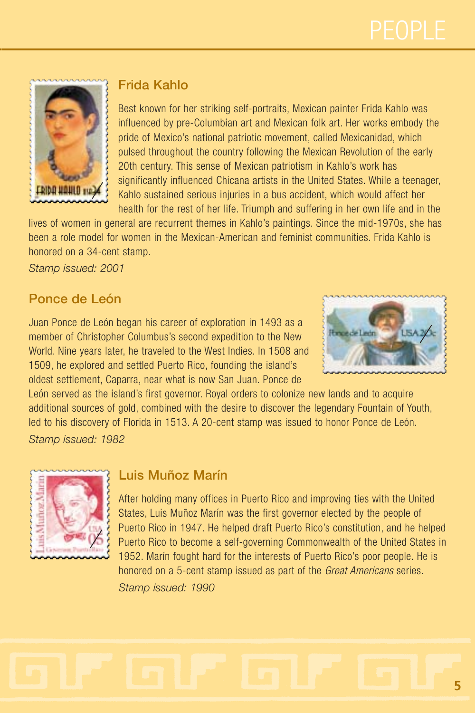

#### **Frida Kahlo**

Best known for her striking self-portraits, Mexican painter Frida Kahlo was influenced by pre-Columbian art and Mexican folk art. Her works embody the pride of Mexico's national patriotic movement, called Mexicanidad, which pulsed throughout the country following the Mexican Revolution of the early 20th century. This sense of Mexican patriotism in Kahlo's work has significantly influenced Chicana artists in the United States. While a teenager, Kahlo sustained serious injuries in a bus accident, which would affect her health for the rest of her life. Triumph and suffering in her own life and in the

lives of women in general are recurrent themes in Kahlo's paintings. Since the mid-1970s, she has been a role model for women in the Mexican-American and feminist communities. Frida Kahlo is honored on a 34-cent stamp.

*Stamp issued: 2001*

#### **Ponce de León**

Juan Ponce de León began his career of exploration in 1493 as a member of Christopher Columbus's second expedition to the New World. Nine years later, he traveled to the West Indies. In 1508 and 1509, he explored and settled Puerto Rico, founding the island's oldest settlement, Caparra, near what is now San Juan. Ponce de



León served as the island's first governor. Royal orders to colonize new lands and to acquire additional sources of gold, combined with the desire to discover the legendary Fountain of Youth, led to his discovery of Florida in 1513. A 20-cent stamp was issued to honor Ponce de León. *Stamp issued: 1982*



#### **Luis Muñoz Marín**

After holding many offices in Puerto Rico and improving ties with the United States, Luis Muñoz Marín was the first governor elected by the people of Puerto Rico in 1947. He helped draft Puerto Rico's constitution, and he helped Puerto Rico to become a self-governing Commonwealth of the United States in 1952. Marín fought hard for the interests of Puerto Rico's poor people. He is honored on a 5-cent stamp issued as part of the *Great Americans* series. *Stamp issued: 1990*

**5**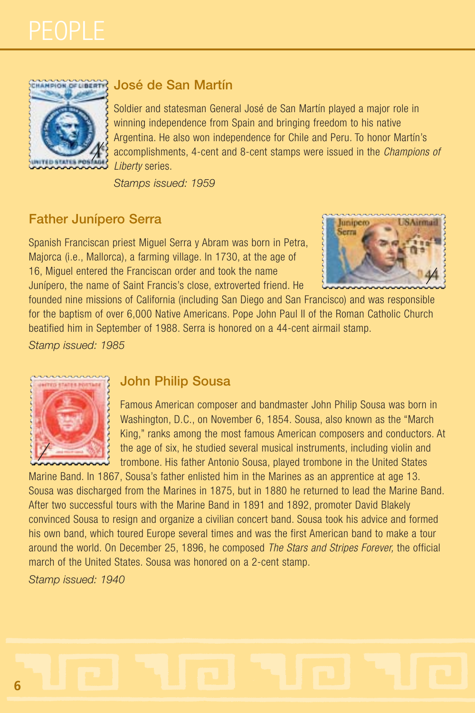

#### **José de San Martín**

Soldier and statesman General José de San Martín played a major role in winning independence from Spain and bringing freedom to his native Argentina. He also won independence for Chile and Peru. To honor Martín's accomplishments, 4-cent and 8-cent stamps were issued in the *Champions of Liberty* series.

*Stamps issued: 1959*

#### **Father Junípero Serra**

Spanish Franciscan priest Miguel Serra y Abram was born in Petra, Majorca (i.e., Mallorca), a farming village. In 1730, at the age of 16, Miguel entered the Franciscan order and took the name Junípero, the name of Saint Francis's close, extroverted friend. He



founded nine missions of California (including San Diego and San Francisco) and was responsible for the baptism of over 6,000 Native Americans. Pope John Paul II of the Roman Catholic Church beatified him in September of 1988. Serra is honored on a 44-cent airmail stamp.

*Stamp issued: 1985*



#### **John Philip Sousa**

Famous American composer and bandmaster John Philip Sousa was born in Washington, D.C., on November 6, 1854. Sousa, also known as the "March King," ranks among the most famous American composers and conductors. At the age of six, he studied several musical instruments, including violin and trombone. His father Antonio Sousa, played trombone in the United States

Marine Band. In 1867, Sousa's father enlisted him in the Marines as an apprentice at age 13. Sousa was discharged from the Marines in 1875, but in 1880 he returned to lead the Marine Band. After two successful tours with the Marine Band in 1891 and 1892, promoter David Blakely convinced Sousa to resign and organize a civilian concert band. Sousa took his advice and formed his own band, which toured Europe several times and was the first American band to make a tour around the world. On December 25, 1896, he composed *The Stars and Stripes Forever,* the official march of the United States. Sousa was honored on a 2-cent stamp.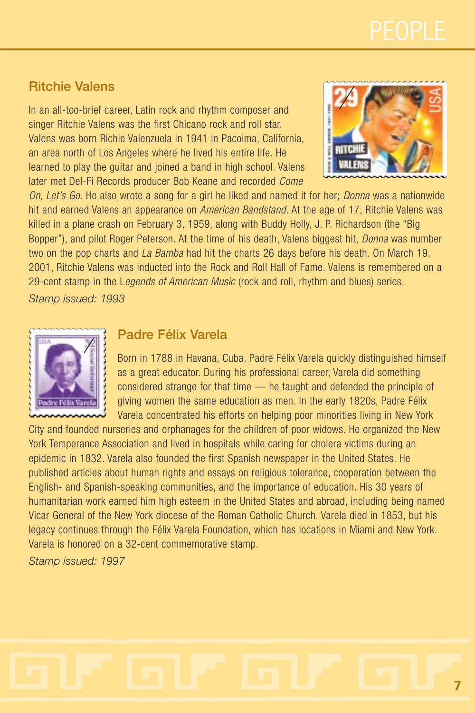#### **Ritchie Valens**

In an all-too-brief career, Latin rock and rhythm composer and singer Ritchie Valens was the first Chicano rock and roll star. Valens was born Richie Valenzuela in 1941 in Pacoima, California, an area north of Los Angeles where he lived his entire life. He learned to play the guitar and joined a band in high school. Valens later met Del-Fi Records producer Bob Keane and recorded *Come*



*On, Let's Go.* He also wrote a song for a girl he liked and named it for her; *Donna* was a nationwide hit and earned Valens an appearance on *American Bandstand.* At the age of 17, Ritchie Valens was killed in a plane crash on February 3, 1959, along with Buddy Holly, J. P. Richardson (the "Big Bopper"), and pilot Roger Peterson. At the time of his death, Valens biggest hit, *Donna* was number two on the pop charts and *La Bamba* had hit the charts 26 days before his death. On March 19, 2001, Ritchie Valens was inducted into the Rock and Roll Hall of Fame. Valens is remembered on a 29-cent stamp in the L*egends of American Music* (rock and roll, rhythm and blues) series.

*Stamp issued: 1993*



#### **Padre Félix Varela**

Born in 1788 in Havana, Cuba, Padre Félix Varela quickly distinguished himself as a great educator. During his professional career, Varela did something considered strange for that time — he taught and defended the principle of giving women the same education as men. In the early 1820s, Padre Félix Varela concentrated his efforts on helping poor minorities living in New York

City and founded nurseries and orphanages for the children of poor widows. He organized the New York Temperance Association and lived in hospitals while caring for cholera victims during an epidemic in 1832. Varela also founded the first Spanish newspaper in the United States. He published articles about human rights and essays on religious tolerance, cooperation between the English- and Spanish-speaking communities, and the importance of education. His 30 years of humanitarian work earned him high esteem in the United States and abroad, including being named Vicar General of the New York diocese of the Roman Catholic Church. Varela died in 1853, but his legacy continues through the Félix Varela Foundation, which has locations in Miami and New York. Varela is honored on a 32-cent commemorative stamp.

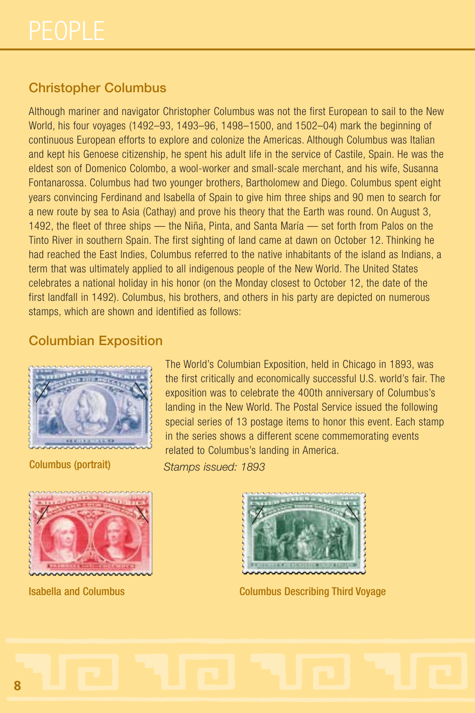### **Christopher Columbus**

Although mariner and navigator Christopher Columbus was not the first European to sail to the New World, his four voyages (1492–93, 1493–96, 1498–1500, and 1502–04) mark the beginning of continuous European efforts to explore and colonize the Americas. Although Columbus was Italian and kept his Genoese citizenship, he spent his adult life in the service of Castile, Spain. He was the eldest son of Domenico Colombo, a wool-worker and small-scale merchant, and his wife, Susanna Fontanarossa. Columbus had two younger brothers, Bartholomew and Diego. Columbus spent eight years convincing Ferdinand and Isabella of Spain to give him three ships and 90 men to search for a new route by sea to Asia (Cathay) and prove his theory that the Earth was round. On August 3, 1492, the fleet of three ships — the Niña, Pinta, and Santa María — set forth from Palos on the Tinto River in southern Spain. The first sighting of land came at dawn on October 12. Thinking he had reached the East Indies, Columbus referred to the native inhabitants of the island as Indians, a term that was ultimately applied to all indigenous people of the New World. The United States celebrates a national holiday in his honor (on the Monday closest to October 12, the date of the first landfall in 1492). Columbus, his brothers, and others in his party are depicted on numerous stamps, which are shown and identified as follows:

#### **Columbian Exposition**



The World's Columbian Exposition, held in Chicago in 1893, was the first critically and economically successful U.S. world's fair. The exposition was to celebrate the 400th anniversary of Columbus's landing in the New World. The Postal Service issued the following special series of 13 postage items to honor this event. Each stamp in the series shows a different scene commemorating events related to Columbus's landing in America.

Columbus (portrait) *Stamps issued: 1893*





Isabella and Columbus Columbus Describing Third Voyage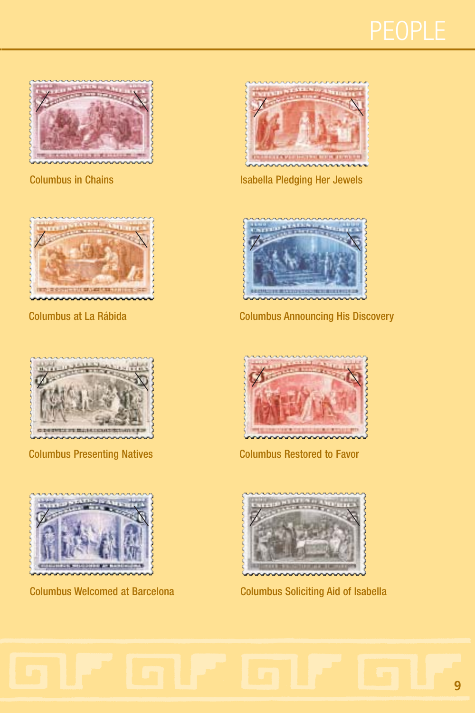





Columbus Presenting Natives Columbus Restored to Favor





Columbus in Chains **Isabella Pledging Her Jewels** 



Columbus at La Rábida Columbus Announcing His Discovery





Columbus Welcomed at Barcelona Columbus Soliciting Aid of Isabella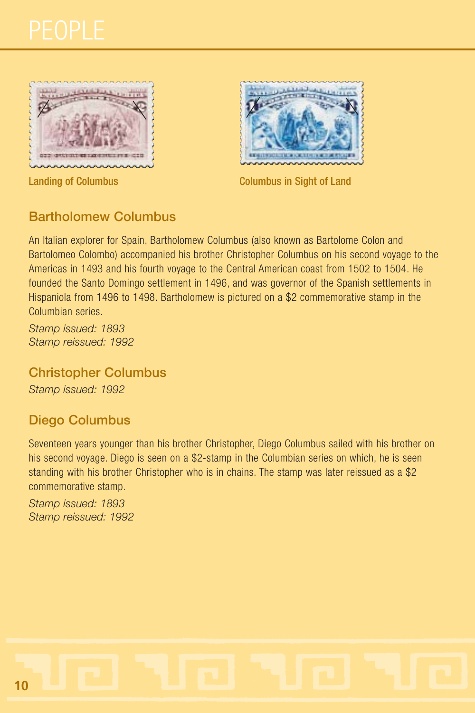





**Landing of Columbus Columbus Columbus in Sight of Land** 

#### **Bartholomew Columbus**

An Italian explorer for Spain, Bartholomew Columbus (also known as Bartolome Colon and Bartolomeo Colombo) accompanied his brother Christopher Columbus on his second voyage to the Americas in 1493 and his fourth voyage to the Central American coast from 1502 to 1504. He founded the Santo Domingo settlement in 1496, and was governor of the Spanish settlements in Hispaniola from 1496 to 1498. Bartholomew is pictured on a \$2 commemorative stamp in the Columbian series.

*Stamp issued: 1893 Stamp reissued: 1992*

**Christopher Columbus** *Stamp issued: 1992*

#### **Diego Columbus**

Seventeen years younger than his brother Christopher, Diego Columbus sailed with his brother on his second voyage. Diego is seen on a \$2-stamp in the Columbian series on which, he is seen standing with his brother Christopher who is in chains. The stamp was later reissued as a \$2 commemorative stamp.

*Stamp issued: 1893 Stamp reissued: 1992*

**10**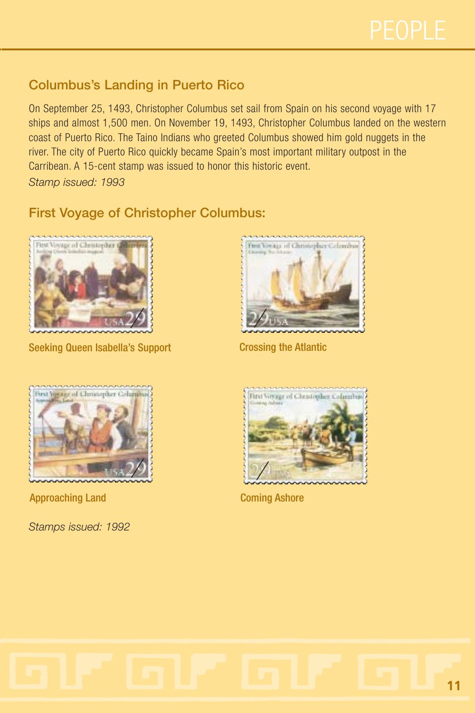## **Columbus's Landing in Puerto Rico**

On September 25, 1493, Christopher Columbus set sail from Spain on his second voyage with 17 ships and almost 1,500 men. On November 19, 1493, Christopher Columbus landed on the western coast of Puerto Rico. The Taino Indians who greeted Columbus showed him gold nuggets in the river. The city of Puerto Rico quickly became Spain's most important military outpost in the Carribean. A 15-cent stamp was issued to honor this historic event.

*Stamp issued: 1993*

### **First Voyage of Christopher Columbus:**



Seeking Queen Isabella's Support Crossing the Atlantic





**Approaching Land Coming Ashore** 



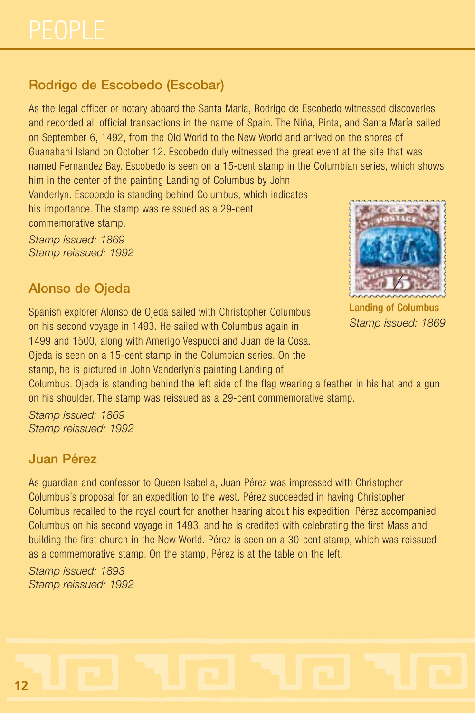## **Rodrigo de Escobedo (Escobar)**

As the legal officer or notary aboard the Santa Maria, Rodrigo de Escobedo witnessed discoveries and recorded all official transactions in the name of Spain. The Niña, Pinta, and Santa María sailed on September 6, 1492, from the Old World to the New World and arrived on the shores of Guanahani Island on October 12. Escobedo duly witnessed the great event at the site that was named Fernandez Bay. Escobedo is seen on a 15-cent stamp in the Columbian series, which shows him in the center of the painting Landing of Columbus by John

Vanderlyn. Escobedo is standing behind Columbus, which indicates his importance. The stamp was reissued as a 29-cent commemorative stamp.

*Stamp issued: 1869 Stamp reissued: 1992*

#### **Alonso de Ojeda**

Spanish explorer Alonso de Ojeda sailed with Christopher Columbus on his second voyage in 1493. He sailed with Columbus again in 1499 and 1500, along with Amerigo Vespucci and Juan de la Cosa. Ojeda is seen on a 15-cent stamp in the Columbian series. On the stamp, he is pictured in John Vanderlyn's painting Landing of



Landing of Columbus *Stamp issued: 1869*

Columbus. Ojeda is standing behind the left side of the flag wearing a feather in his hat and a gun on his shoulder. The stamp was reissued as a 29-cent commemorative stamp.

*Stamp issued: 1869 Stamp reissued: 1992*

#### **Juan Pérez**

As guardian and confessor to Queen Isabella, Juan Pérez was impressed with Christopher Columbus's proposal for an expedition to the west. Pérez succeeded in having Christopher Columbus recalled to the royal court for another hearing about his expedition. Pérez accompanied Columbus on his second voyage in 1493, and he is credited with celebrating the first Mass and building the first church in the New World. Pérez is seen on a 30-cent stamp, which was reissued as a commemorative stamp. On the stamp, Pérez is at the table on the left.

*Stamp issued: 1893 Stamp reissued: 1992*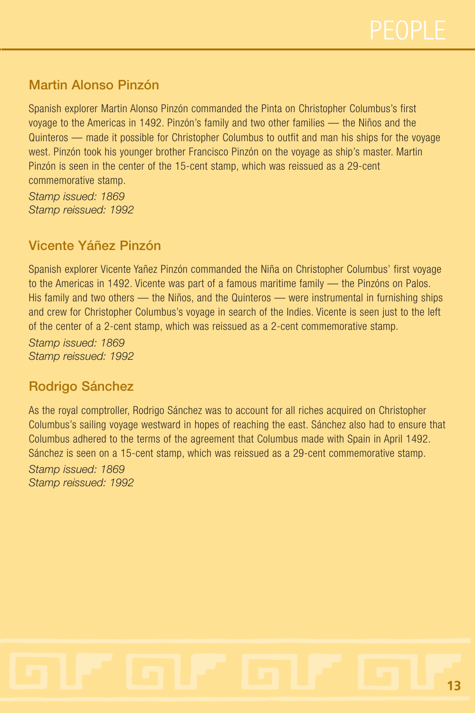

#### **Martin Alonso Pinzón**

Spanish explorer Martin Alonso Pinzón commanded the Pinta on Christopher Columbus's first voyage to the Americas in 1492. Pinzón's family and two other families — the Niños and the Quinteros — made it possible for Christopher Columbus to outfit and man his ships for the voyage west. Pinzón took his younger brother Francisco Pinzón on the voyage as ship's master. Martin Pinzón is seen in the center of the 15-cent stamp, which was reissued as a 29-cent commemorative stamp.

*Stamp issued: 1869 Stamp reissued: 1992*

#### **Vicente Yáñez Pinzón**

Spanish explorer Vicente Yañez Pinzón commanded the Niña on Christopher Columbus' first voyage to the Americas in 1492. Vicente was part of a famous maritime family — the Pinzóns on Palos. His family and two others — the Niños, and the Quinteros — were instrumental in furnishing ships and crew for Christopher Columbus's voyage in search of the Indies. Vicente is seen just to the left of the center of a 2-cent stamp, which was reissued as a 2-cent commemorative stamp.

*Stamp issued: 1869 Stamp reissued: 1992*

#### **Rodrigo Sánchez**

As the royal comptroller, Rodrigo Sánchez was to account for all riches acquired on Christopher Columbus's sailing voyage westward in hopes of reaching the east. Sánchez also had to ensure that Columbus adhered to the terms of the agreement that Columbus made with Spain in April 1492. Sánchez is seen on a 15-cent stamp, which was reissued as a 29-cent commemorative stamp.

*Stamp issued: 1869 Stamp reissued: 1992*

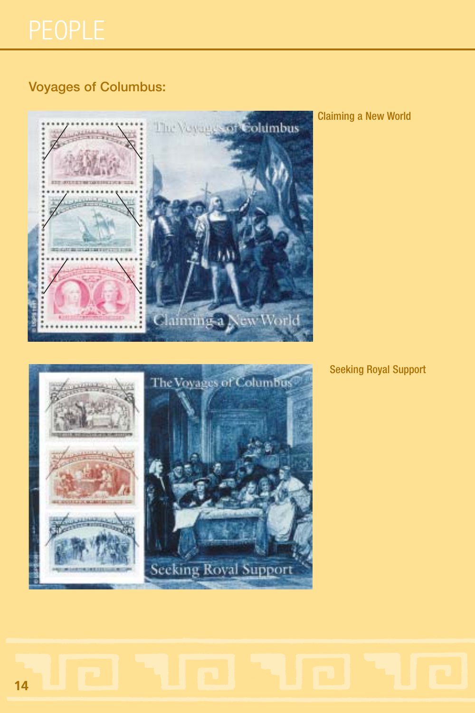## **Voyages of Columbus:**



Claiming a New World



Seeking Royal Support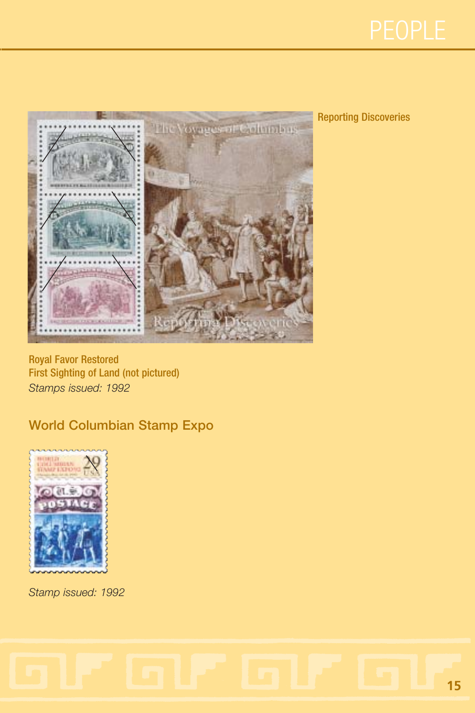



#### Reporting Discoveries

Royal Favor Restored First Sighting of Land (not pictured) *Stamps issued: 1992*

### **World Columbian Stamp Expo**



*Stamp issued: 1992*

## **15**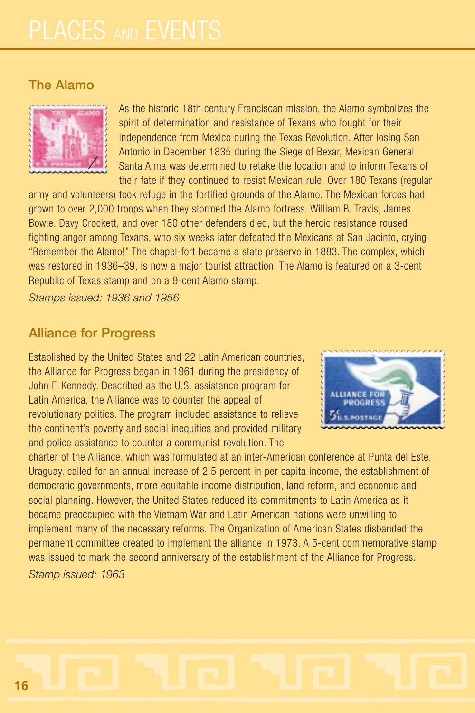#### **The Alamo**



As the historic 18th century Franciscan mission, the Alamo symbolizes the spirit of determination and resistance of Texans who fought for their independence from Mexico during the Texas Revolution. After losing San Antonio in December 1835 during the Siege of Bexar, Mexican General Santa Anna was determined to retake the location and to inform Texans of their fate if they continued to resist Mexican rule. Over 180 Texans (regular

army and volunteers) took refuge in the fortified grounds of the Alamo. The Mexican forces had grown to over 2,000 troops when they stormed the Alamo fortress. William B. Travis, James Bowie, Davy Crockett, and over 180 other defenders died, but the heroic resistance roused fighting anger among Texans, who six weeks later defeated the Mexicans at San Jacinto, crying "Remember the Alamo!" The chapel-fort became a state preserve in 1883. The complex, which was restored in 1936–39, is now a major tourist attraction. The Alamo is featured on a 3-cent Republic of Texas stamp and on a 9-cent Alamo stamp.

*Stamps issued: 1936 and 1956*

#### **Alliance for Progress**

Established by the United States and 22 Latin American countries, the Alliance for Progress began in 1961 during the presidency of John F. Kennedy. Described as the U.S. assistance program for Latin America, the Alliance was to counter the appeal of revolutionary politics. The program included assistance to relieve the continent's poverty and social inequities and provided military and police assistance to counter a communist revolution. The



charter of the Alliance, which was formulated at an inter-American conference at Punta del Este, Uraguay, called for an annual increase of 2.5 percent in per capita income, the establishment of democratic governments, more equitable income distribution, land reform, and economic and social planning. However, the United States reduced its commitments to Latin America as it became preoccupied with the Vietnam War and Latin American nations were unwilling to implement many of the necessary reforms. The Organization of American States disbanded the permanent committee created to implement the alliance in 1973. A 5-cent commemorative stamp was issued to mark the second anniversary of the establishment of the Alliance for Progress. *Stamp issued: 1963*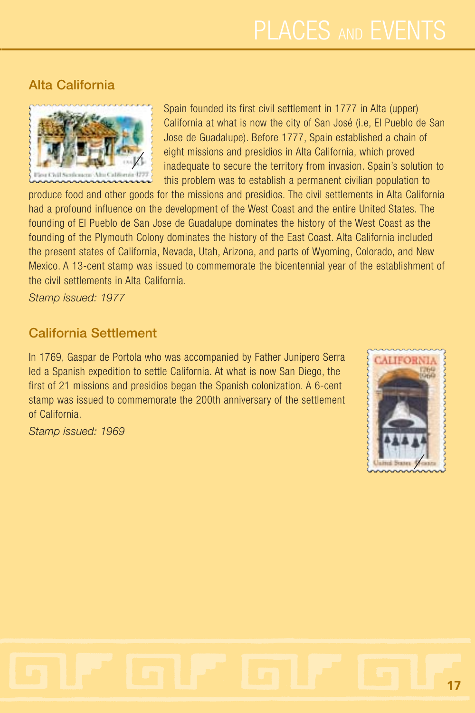### **Alta California**



Spain founded its first civil settlement in 1777 in Alta (upper) California at what is now the city of San José (i.e, El Pueblo de San Jose de Guadalupe). Before 1777, Spain established a chain of eight missions and presidios in Alta California, which proved inadequate to secure the territory from invasion. Spain's solution to this problem was to establish a permanent civilian population to

produce food and other goods for the missions and presidios. The civil settlements in Alta California had a profound influence on the development of the West Coast and the entire United States. The founding of El Pueblo de San Jose de Guadalupe dominates the history of the West Coast as the founding of the Plymouth Colony dominates the history of the East Coast. Alta California included the present states of California, Nevada, Utah, Arizona, and parts of Wyoming, Colorado, and New Mexico. A 13-cent stamp was issued to commemorate the bicentennial year of the establishment of the civil settlements in Alta California.

*Stamp issued: 1977*

#### **California Settlement**

In 1769, Gaspar de Portola who was accompanied by Father Junipero Serra led a Spanish expedition to settle California. At what is now San Diego, the first of 21 missions and presidios began the Spanish colonization. A 6-cent stamp was issued to commemorate the 200th anniversary of the settlement of California.

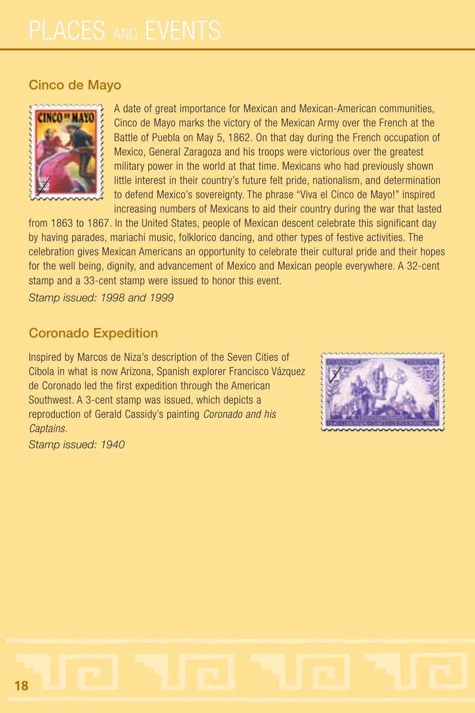#### **Cinco de Mayo**



A date of great importance for Mexican and Mexican-American communities, Cinco de Mayo marks the victory of the Mexican Army over the French at the Battle of Puebla on May 5, 1862. On that day during the French occupation of Mexico, General Zaragoza and his troops were victorious over the greatest military power in the world at that time. Mexicans who had previously shown little interest in their country's future felt pride, nationalism, and determination to defend Mexico's sovereignty. The phrase "Viva el Cinco de Mayo!" inspired increasing numbers of Mexicans to aid their country during the war that lasted

from 1863 to 1867. In the United States, people of Mexican descent celebrate this significant day by having parades, mariachi music, folklorico dancing, and other types of festive activities. The celebration gives Mexican Americans an opportunity to celebrate their cultural pride and their hopes for the well being, dignity, and advancement of Mexico and Mexican people everywhere. A 32-cent stamp and a 33-cent stamp were issued to honor this event.

*Stamp issued: 1998 and 1999*

#### **Coronado Expedition**

Inspired by Marcos de Niza's description of the Seven Cities of Cibola in what is now Arizona, Spanish explorer Francisco Vázquez de Coronado led the first expedition through the American Southwest. A 3-cent stamp was issued, which depicts a reproduction of Gerald Cassidy's painting *Coronado and his Captains.*

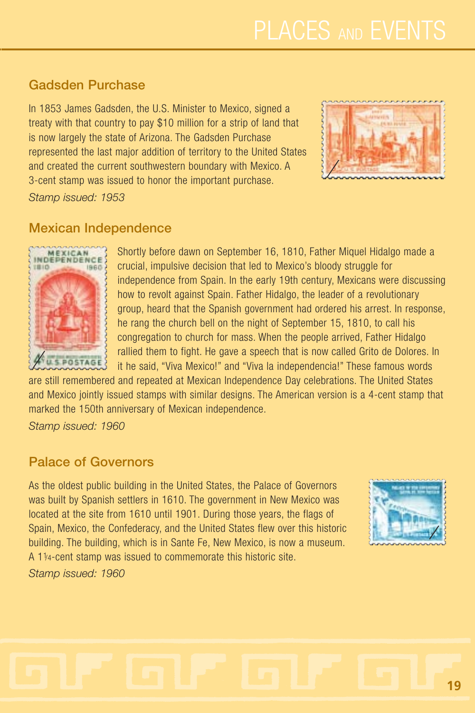## **Gadsden Purchase**

In 1853 James Gadsden, the U.S. Minister to Mexico, signed a treaty with that country to pay \$10 million for a strip of land that is now largely the state of Arizona. The Gadsden Purchase represented the last major addition of territory to the United States and created the current southwestern boundary with Mexico. A 3-cent stamp was issued to honor the important purchase.



*Stamp issued: 1953*

#### **Mexican Independence**



Shortly before dawn on September 16, 1810, Father Miquel Hidalgo made a crucial, impulsive decision that led to Mexico's bloody struggle for independence from Spain. In the early 19th century, Mexicans were discussing how to revolt against Spain. Father Hidalgo, the leader of a revolutionary group, heard that the Spanish government had ordered his arrest. In response, he rang the church bell on the night of September 15, 1810, to call his congregation to church for mass. When the people arrived, Father Hidalgo rallied them to fight. He gave a speech that is now called Grito de Dolores. In it he said, "Viva Mexico!" and "Viva la independencia!" These famous words

are still remembered and repeated at Mexican Independence Day celebrations. The United States and Mexico jointly issued stamps with similar designs. The American version is a 4-cent stamp that marked the 150th anniversary of Mexican independence.

*Stamp issued: 1960*

#### **Palace of Governors**

As the oldest public building in the United States, the Palace of Governors was built by Spanish settlers in 1610. The government in New Mexico was located at the site from 1610 until 1901. During those years, the flags of Spain, Mexico, the Confederacy, and the United States flew over this historic building. The building, which is in Sante Fe, New Mexico, is now a museum. A 11/4-cent stamp was issued to commemorate this historic site. *Stamp issued: 1960*

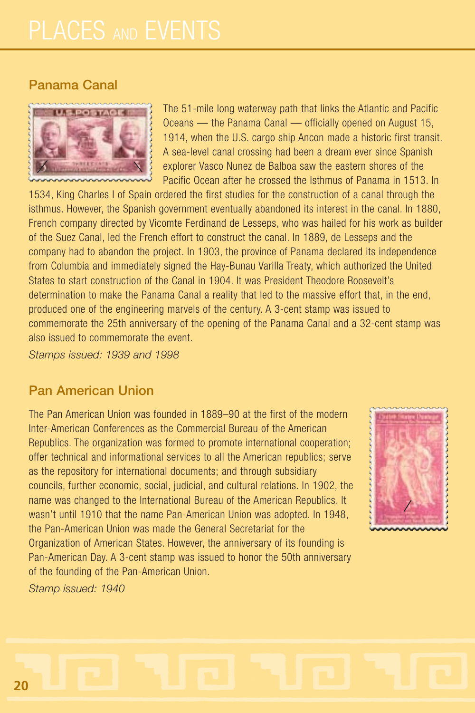#### **Panama Canal**



The 51-mile long waterway path that links the Atlantic and Pacific Oceans — the Panama Canal — officially opened on August 15, 1914, when the U.S. cargo ship Ancon made a historic first transit. A sea-level canal crossing had been a dream ever since Spanish explorer Vasco Nunez de Balboa saw the eastern shores of the Pacific Ocean after he crossed the Isthmus of Panama in 1513. In

1534, King Charles I of Spain ordered the first studies for the construction of a canal through the isthmus. However, the Spanish government eventually abandoned its interest in the canal. In 1880, French company directed by Vicomte Ferdinand de Lesseps, who was hailed for his work as builder of the Suez Canal, led the French effort to construct the canal. In 1889, de Lesseps and the company had to abandon the project. In 1903, the province of Panama declared its independence from Columbia and immediately signed the Hay-Bunau Varilla Treaty, which authorized the United States to start construction of the Canal in 1904. It was President Theodore Roosevelt's determination to make the Panama Canal a reality that led to the massive effort that, in the end, produced one of the engineering marvels of the century. A 3-cent stamp was issued to commemorate the 25th anniversary of the opening of the Panama Canal and a 32-cent stamp was also issued to commemorate the event.

*Stamps issued: 1939 and 1998*

#### **Pan American Union**

The Pan American Union was founded in 1889–90 at the first of the modern Inter-American Conferences as the Commercial Bureau of the American Republics. The organization was formed to promote international cooperation; offer technical and informational services to all the American republics; serve as the repository for international documents; and through subsidiary councils, further economic, social, judicial, and cultural relations. In 1902, the name was changed to the International Bureau of the American Republics. It wasn't until 1910 that the name Pan-American Union was adopted. In 1948, the Pan-American Union was made the General Secretariat for the Organization of American States. However, the anniversary of its founding is Pan-American Day. A 3-cent stamp was issued to honor the 50th anniversary of the founding of the Pan-American Union.

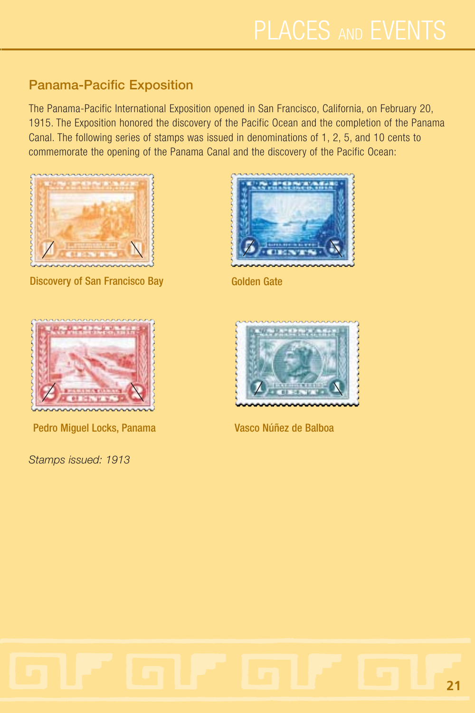## **Panama-Pacific Exposition**

The Panama-Pacific International Exposition opened in San Francisco, California, on February 20, 1915. The Exposition honored the discovery of the Pacific Ocean and the completion of the Panama Canal. The following series of stamps was issued in denominations of 1, 2, 5, and 10 cents to commemorate the opening of the Panama Canal and the discovery of the Pacific Ocean:



Discovery of San Francisco Bay Golden Gate





Pedro Miguel Locks, Panama Vasco Núñez de Balboa



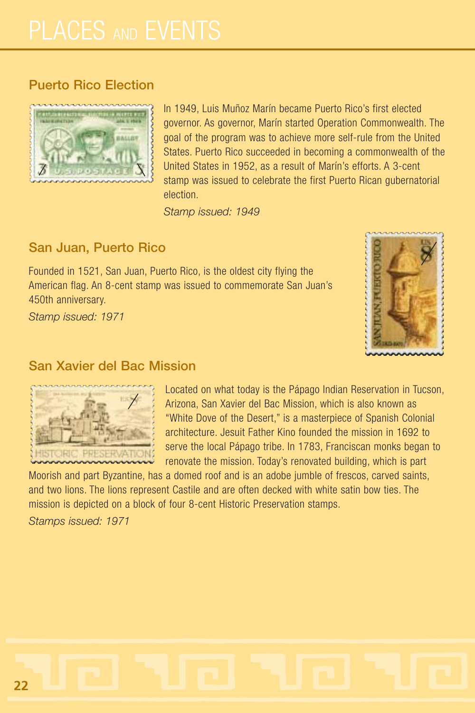#### **Puerto Rico Election**



In 1949, Luis Muñoz Marín became Puerto Rico's first elected governor. As governor, Marín started Operation Commonwealth. The goal of the program was to achieve more self-rule from the United States. Puerto Rico succeeded in becoming a commonwealth of the United States in 1952, as a result of Marín's efforts. A 3-cent stamp was issued to celebrate the first Puerto Rican gubernatorial election.

*Stamp issued: 1949*

#### **San Juan, Puerto Rico**

Founded in 1521, San Juan, Puerto Rico, is the oldest city flying the American flag. An 8-cent stamp was issued to commemorate San Juan's 450th anniversary.

*Stamp issued: 1971*



#### **San Xavier del Bac Mission**



Located on what today is the Pápago Indian Reservation in Tucson, Arizona, San Xavier del Bac Mission, which is also known as "White Dove of the Desert," is a masterpiece of Spanish Colonial architecture. Jesuit Father Kino founded the mission in 1692 to serve the local Pápago tribe. In 1783, Franciscan monks began to renovate the mission. Today's renovated building, which is part

Moorish and part Byzantine, has a domed roof and is an adobe jumble of frescos, carved saints, and two lions. The lions represent Castile and are often decked with white satin bow ties. The mission is depicted on a block of four 8-cent Historic Preservation stamps.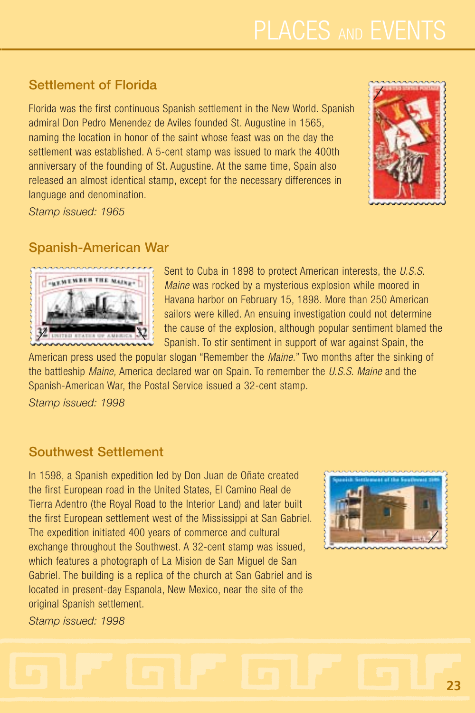## **Settlement of Florida**

Florida was the first continuous Spanish settlement in the New World. Spanish admiral Don Pedro Menendez de Aviles founded St. Augustine in 1565, naming the location in honor of the saint whose feast was on the day the settlement was established. A 5-cent stamp was issued to mark the 400th anniversary of the founding of St. Augustine. At the same time, Spain also released an almost identical stamp, except for the necessary differences in language and denomination.



*Stamp issued: 1965*

## **Spanish-American War**



Sent to Cuba in 1898 to protect American interests, the *U.S.S. Maine* was rocked by a mysterious explosion while moored in Havana harbor on February 15, 1898. More than 250 American sailors were killed. An ensuing investigation could not determine the cause of the explosion, although popular sentiment blamed the Spanish. To stir sentiment in support of war against Spain, the

American press used the popular slogan "Remember the *Maine.*" Two months after the sinking of the battleship *Maine,* America declared war on Spain. To remember the *U.S.S. Maine* and the Spanish-American War, the Postal Service issued a 32-cent stamp.

*Stamp issued: 1998*

#### **Southwest Settlement**

In 1598, a Spanish expedition led by Don Juan de Oñate created the first European road in the United States, El Camino Real de Tierra Adentro (the Royal Road to the Interior Land) and later built the first European settlement west of the Mississippi at San Gabriel. The expedition initiated 400 years of commerce and cultural exchange throughout the Southwest. A 32-cent stamp was issued, which features a photograph of La Mision de San Miguel de San Gabriel. The building is a replica of the church at San Gabriel and is located in present-day Espanola, New Mexico, near the site of the original Spanish settlement.